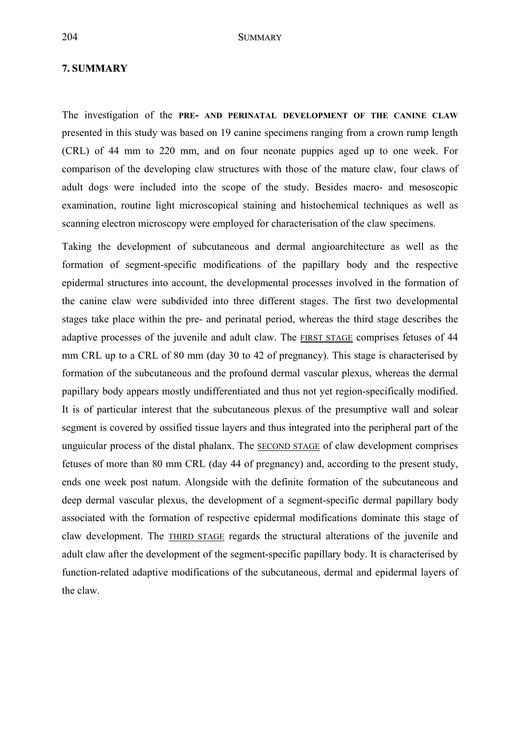## **7. SUMMARY**

The investigation of the **PRE- AND PERINATAL DEVELOPMENT OF THE CANINE CLAW** presented in this study was based on 19 canine specimens ranging from a crown rump length (CRL) of 44 mm to 220 mm, and on four neonate puppies aged up to one week. For comparison of the developing claw structures with those of the mature claw, four claws of adult dogs were included into the scope of the study. Besides macro- and mesoscopic examination, routine light microscopical staining and histochemical techniques as well as scanning electron microscopy were employed for characterisation of the claw specimens.

Taking the development of subcutaneous and dermal angioarchitecture as well as the formation of segment-specific modifications of the papillary body and the respective epidermal structures into account, the developmental processes involved in the formation of the canine claw were subdivided into three different stages. The first two developmental stages take place within the pre- and perinatal period, whereas the third stage describes the adaptive processes of the juvenile and adult claw. The FIRST STAGE comprises fetuses of 44 mm CRL up to a CRL of 80 mm (day 30 to 42 of pregnancy). This stage is characterised by formation of the subcutaneous and the profound dermal vascular plexus, whereas the dermal papillary body appears mostly undifferentiated and thus not yet region-specifically modified. It is of particular interest that the subcutaneous plexus of the presumptive wall and solear segment is covered by ossified tissue layers and thus integrated into the peripheral part of the unguicular process of the distal phalanx. The SECOND STAGE of claw development comprises fetuses of more than 80 mm CRL (day 44 of pregnancy) and, according to the present study, ends one week post natum. Alongside with the definite formation of the subcutaneous and deep dermal vascular plexus, the development of a segment-specific dermal papillary body associated with the formation of respective epidermal modifications dominate this stage of claw development. The THIRD STAGE regards the structural alterations of the juvenile and adult claw after the development of the segment-specific papillary body. It is characterised by function-related adaptive modifications of the subcutaneous, dermal and epidermal layers of the claw.